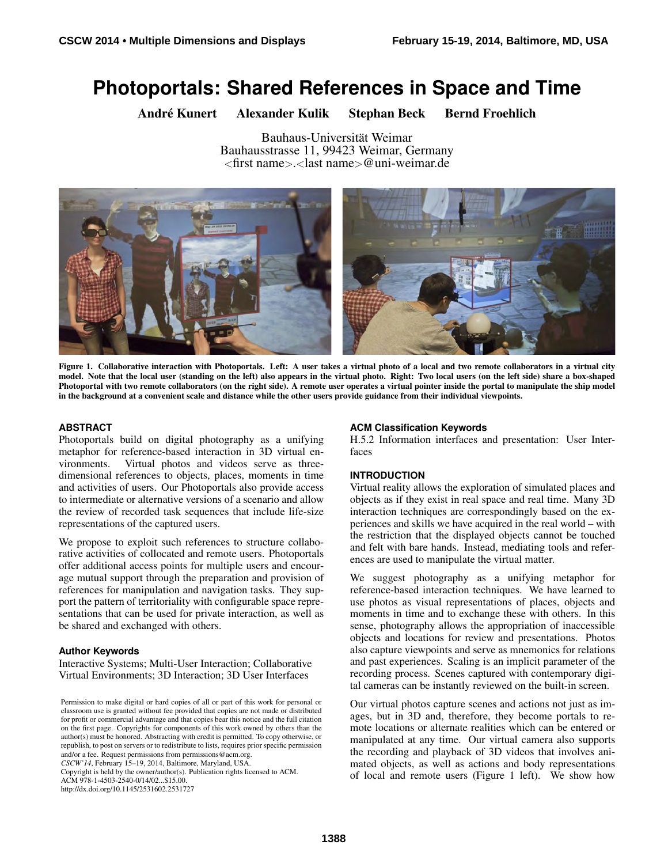# **Photoportals: Shared References in Space and Time**

André Kunert Alexander Kulik Stephan Beck Bernd Froehlich

Bauhaus-Universität Weimar Bauhausstrasse 11, 99423 Weimar, Germany <first name>.<last name>@uni-weimar.de



Figure 1. Collaborative interaction with Photoportals. Left: A user takes a virtual photo of a local and two remote collaborators in a virtual city model. Note that the local user (standing on the left) also appears in the virtual photo. Right: Two local users (on the left side) share a box-shaped Photoportal with two remote collaborators (on the right side). A remote user operates a virtual pointer inside the portal to manipulate the ship model in the background at a convenient scale and distance while the other users provide guidance from their individual viewpoints.

## <span id="page-0-0"></span>**ABSTRACT**

Photoportals build on digital photography as a unifying metaphor for reference-based interaction in 3D virtual environments. Virtual photos and videos serve as threedimensional references to objects, places, moments in time and activities of users. Our Photoportals also provide access to intermediate or alternative versions of a scenario and allow the review of recorded task sequences that include life-size representations of the captured users.

We propose to exploit such references to structure collaborative activities of collocated and remote users. Photoportals offer additional access points for multiple users and encourage mutual support through the preparation and provision of references for manipulation and navigation tasks. They support the pattern of territoriality with configurable space representations that can be used for private interaction, as well as be shared and exchanged with others.

#### **Author Keywords**

Interactive Systems; Multi-User Interaction; Collaborative Virtual Environments; 3D Interaction; 3D User Interfaces

*CSCW'14*, February 15–19, 2014, Baltimore, Maryland, USA. Copyright is held by the owner/author(s). Publication rights licensed to ACM.

ACM 978-1-4503-2540-0/14/02...\$15.00.

http://dx.doi.org/10.1145/2531602.2531727

#### **ACM Classification Keywords**

H.5.2 Information interfaces and presentation: User Interfaces

#### **INTRODUCTION**

Virtual reality allows the exploration of simulated places and objects as if they exist in real space and real time. Many 3D interaction techniques are correspondingly based on the experiences and skills we have acquired in the real world – with the restriction that the displayed objects cannot be touched and felt with bare hands. Instead, mediating tools and references are used to manipulate the virtual matter.

We suggest photography as a unifying metaphor for reference-based interaction techniques. We have learned to use photos as visual representations of places, objects and moments in time and to exchange these with others. In this sense, photography allows the appropriation of inaccessible objects and locations for review and presentations. Photos also capture viewpoints and serve as mnemonics for relations and past experiences. Scaling is an implicit parameter of the recording process. Scenes captured with contemporary digital cameras can be instantly reviewed on the built-in screen.

Our virtual photos capture scenes and actions not just as images, but in 3D and, therefore, they become portals to remote locations or alternate realities which can be entered or manipulated at any time. Our virtual camera also supports the recording and playback of 3D videos that involves animated objects, as well as actions and body representations of local and remote users (Figure [1](#page-0-0) left). We show how

Permission to make digital or hard copies of all or part of this work for personal or classroom use is granted without fee provided that copies are not made or distributed for profit or commercial advantage and that copies bear this notice and the full citation on the first page. Copyrights for components of this work owned by others than the author(s) must be honored. Abstracting with credit is permitted. To copy otherwise, or republish, to post on servers or to redistribute to lists, requires prior specific permission and/or a fee. Request permissions from permissions@acm.org.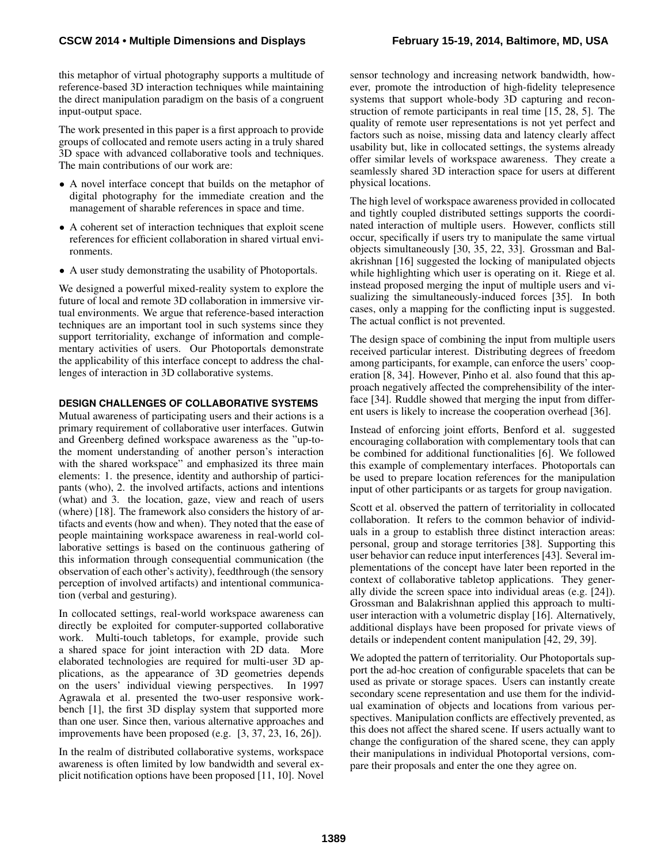this metaphor of virtual photography supports a multitude of reference-based 3D interaction techniques while maintaining the direct manipulation paradigm on the basis of a congruent input-output space.

The work presented in this paper is a first approach to provide groups of collocated and remote users acting in a truly shared 3D space with advanced collaborative tools and techniques. The main contributions of our work are:

- A novel interface concept that builds on the metaphor of digital photography for the immediate creation and the management of sharable references in space and time.
- A coherent set of interaction techniques that exploit scene references for efficient collaboration in shared virtual environments.
- A user study demonstrating the usability of Photoportals.

We designed a powerful mixed-reality system to explore the future of local and remote 3D collaboration in immersive virtual environments. We argue that reference-based interaction techniques are an important tool in such systems since they support territoriality, exchange of information and complementary activities of users. Our Photoportals demonstrate the applicability of this interface concept to address the challenges of interaction in 3D collaborative systems.

#### **DESIGN CHALLENGES OF COLLABORATIVE SYSTEMS**

Mutual awareness of participating users and their actions is a primary requirement of collaborative user interfaces. Gutwin and Greenberg defined workspace awareness as the "up-tothe moment understanding of another person's interaction with the shared workspace" and emphasized its three main elements: 1. the presence, identity and authorship of participants (who), 2. the involved artifacts, actions and intentions (what) and 3. the location, gaze, view and reach of users (where) [\[18\]](#page-10-0). The framework also considers the history of artifacts and events (how and when). They noted that the ease of people maintaining workspace awareness in real-world collaborative settings is based on the continuous gathering of this information through consequential communication (the observation of each other's activity), feedthrough (the sensory perception of involved artifacts) and intentional communication (verbal and gesturing).

In collocated settings, real-world workspace awareness can directly be exploited for computer-supported collaborative work. Multi-touch tabletops, for example, provide such a shared space for joint interaction with 2D data. More elaborated technologies are required for multi-user 3D applications, as the appearance of 3D geometries depends on the users' individual viewing perspectives. In 1997 Agrawala et al. presented the two-user responsive workbench [\[1\]](#page-10-1), the first 3D display system that supported more than one user. Since then, various alternative approaches and improvements have been proposed (e.g. [\[3,](#page-10-2) [37,](#page-11-0) [23,](#page-11-1) [16,](#page-10-3) [26\]](#page-11-2)).

In the realm of distributed collaborative systems, workspace awareness is often limited by low bandwidth and several explicit notification options have been proposed [\[11,](#page-10-4) [10\]](#page-10-5). Novel sensor technology and increasing network bandwidth, however, promote the introduction of high-fidelity telepresence systems that support whole-body 3D capturing and reconstruction of remote participants in real time [\[15,](#page-10-6) [28,](#page-11-3) [5\]](#page-10-7). The quality of remote user representations is not yet perfect and factors such as noise, missing data and latency clearly affect usability but, like in collocated settings, the systems already offer similar levels of workspace awareness. They create a seamlessly shared 3D interaction space for users at different physical locations.

The high level of workspace awareness provided in collocated and tightly coupled distributed settings supports the coordinated interaction of multiple users. However, conflicts still occur, specifically if users try to manipulate the same virtual objects simultaneously [\[30,](#page-11-4) [35,](#page-11-5) [22,](#page-11-6) [33\]](#page-11-7). Grossman and Balakrishnan [\[16\]](#page-10-3) suggested the locking of manipulated objects while highlighting which user is operating on it. Riege et al. instead proposed merging the input of multiple users and visualizing the simultaneously-induced forces [\[35\]](#page-11-5). In both cases, only a mapping for the conflicting input is suggested. The actual conflict is not prevented.

The design space of combining the input from multiple users received particular interest. Distributing degrees of freedom among participants, for example, can enforce the users' cooperation [\[8,](#page-10-8) [34\]](#page-11-8). However, Pinho et al. also found that this approach negatively affected the comprehensibility of the interface [\[34\]](#page-11-8). Ruddle showed that merging the input from different users is likely to increase the cooperation overhead [\[36\]](#page-11-9).

Instead of enforcing joint efforts, Benford et al. suggested encouraging collaboration with complementary tools that can be combined for additional functionalities [\[6\]](#page-10-9). We followed this example of complementary interfaces. Photoportals can be used to prepare location references for the manipulation input of other participants or as targets for group navigation.

Scott et al. observed the pattern of territoriality in collocated collaboration. It refers to the common behavior of individuals in a group to establish three distinct interaction areas: personal, group and storage territories [\[38\]](#page-11-10). Supporting this user behavior can reduce input interferences [\[43\]](#page-11-11). Several implementations of the concept have later been reported in the context of collaborative tabletop applications. They generally divide the screen space into individual areas (e.g. [\[24\]](#page-11-12)). Grossman and Balakrishnan applied this approach to multiuser interaction with a volumetric display [\[16\]](#page-10-3). Alternatively, additional displays have been proposed for private views of details or independent content manipulation [\[42,](#page-11-13) [29,](#page-11-14) [39\]](#page-11-15).

We adopted the pattern of territoriality. Our Photoportals support the ad-hoc creation of configurable spacelets that can be used as private or storage spaces. Users can instantly create secondary scene representation and use them for the individual examination of objects and locations from various perspectives. Manipulation conflicts are effectively prevented, as this does not affect the shared scene. If users actually want to change the configuration of the shared scene, they can apply their manipulations in individual Photoportal versions, compare their proposals and enter the one they agree on.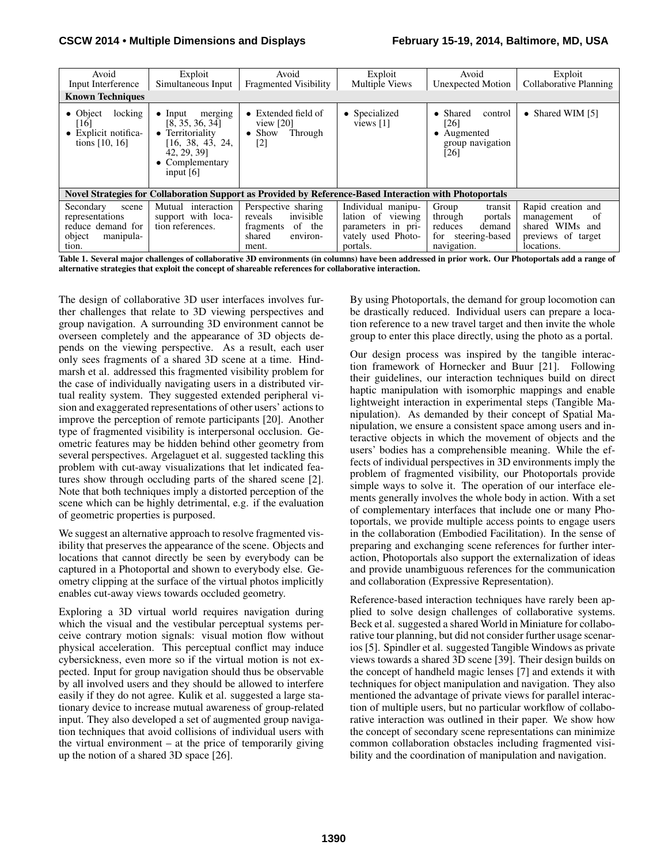| Avoid<br>Input Interference                                                                             | Exploit<br>Simultaneous Input                                                                                                        | Avoid<br><b>Fragmented Visibility</b>                                                             | Exploit<br><b>Multiple Views</b>                                                                   | Avoid<br>Unexpected Motion                                                                          | Exploit<br>Collaborative Planning                                                                |
|---------------------------------------------------------------------------------------------------------|--------------------------------------------------------------------------------------------------------------------------------------|---------------------------------------------------------------------------------------------------|----------------------------------------------------------------------------------------------------|-----------------------------------------------------------------------------------------------------|--------------------------------------------------------------------------------------------------|
| <b>Known Techniques</b>                                                                                 |                                                                                                                                      |                                                                                                   |                                                                                                    |                                                                                                     |                                                                                                  |
| locking<br>• Object<br>[16]<br>• Explicit notifica-<br>tions $[10, 16]$                                 | merging<br>$\bullet$ Input<br>[8, 35, 36, 34]<br>• Territoriality<br>[16, 38, 43, 24,<br>42, 29, 39]<br>Complementary<br>input $[6]$ | $\bullet$ Extended field of<br>view $[20]$<br>$\bullet$ Show<br>Through<br>$\lceil 2 \rceil$      | • Specialized<br>views $[1]$                                                                       | • Shared<br>control<br>[26]<br>$\bullet$ Augmented<br>group navigation<br>[26]                      | • Shared WIM $[5]$                                                                               |
| Novel Strategies for Collaboration Support as Provided by Reference-Based Interaction with Photoportals |                                                                                                                                      |                                                                                                   |                                                                                                    |                                                                                                     |                                                                                                  |
| Secondary<br>scene<br>representations<br>reduce demand for<br>object<br>manipula-<br>tion.              | Mutual interaction<br>support with loca-<br>tion references.                                                                         | Perspective sharing<br>invisible<br>reveals<br>of the<br>fragments<br>shared<br>environ-<br>ment. | Individual manipu-<br>lation of<br>viewing<br>parameters in pri-<br>vately used Photo-<br>portals. | Group<br>transit<br>through<br>portals<br>reduces<br>demand<br>steering-based<br>for<br>navigation. | Rapid creation and<br>of<br>management<br>shared WIMs<br>and<br>previews of target<br>locations. |

Table 1. Several major challenges of collaborative 3D environments (in columns) have been addressed in prior work. Our Photoportals add a range of alternative strategies that exploit the concept of shareable references for collaborative interaction.

The design of collaborative 3D user interfaces involves further challenges that relate to 3D viewing perspectives and group navigation. A surrounding 3D environment cannot be overseen completely and the appearance of 3D objects depends on the viewing perspective. As a result, each user only sees fragments of a shared 3D scene at a time. Hindmarsh et al. addressed this fragmented visibility problem for the case of individually navigating users in a distributed virtual reality system. They suggested extended peripheral vision and exaggerated representations of other users' actions to improve the perception of remote participants [\[20\]](#page-11-16). Another type of fragmented visibility is interpersonal occlusion. Geometric features may be hidden behind other geometry from several perspectives. Argelaguet et al. suggested tackling this problem with cut-away visualizations that let indicated features show through occluding parts of the shared scene [\[2\]](#page-10-10). Note that both techniques imply a distorted perception of the scene which can be highly detrimental, e.g. if the evaluation of geometric properties is purposed.

We suggest an alternative approach to resolve fragmented visibility that preserves the appearance of the scene. Objects and locations that cannot directly be seen by everybody can be captured in a Photoportal and shown to everybody else. Geometry clipping at the surface of the virtual photos implicitly enables cut-away views towards occluded geometry.

Exploring a 3D virtual world requires navigation during which the visual and the vestibular perceptual systems perceive contrary motion signals: visual motion flow without physical acceleration. This perceptual conflict may induce cybersickness, even more so if the virtual motion is not expected. Input for group navigation should thus be observable by all involved users and they should be allowed to interfere easily if they do not agree. Kulik et al. suggested a large stationary device to increase mutual awareness of group-related input. They also developed a set of augmented group navigation techniques that avoid collisions of individual users with the virtual environment – at the price of temporarily giving up the notion of a shared 3D space [\[26\]](#page-11-2).

By using Photoportals, the demand for group locomotion can be drastically reduced. Individual users can prepare a location reference to a new travel target and then invite the whole group to enter this place directly, using the photo as a portal.

Our design process was inspired by the tangible interaction framework of Hornecker and Buur [\[21\]](#page-11-17). Following their guidelines, our interaction techniques build on direct haptic manipulation with isomorphic mappings and enable lightweight interaction in experimental steps (Tangible Manipulation). As demanded by their concept of Spatial Manipulation, we ensure a consistent space among users and interactive objects in which the movement of objects and the users' bodies has a comprehensible meaning. While the effects of individual perspectives in 3D environments imply the problem of fragmented visibility, our Photoportals provide simple ways to solve it. The operation of our interface elements generally involves the whole body in action. With a set of complementary interfaces that include one or many Photoportals, we provide multiple access points to engage users in the collaboration (Embodied Facilitation). In the sense of preparing and exchanging scene references for further interaction, Photoportals also support the externalization of ideas and provide unambiguous references for the communication and collaboration (Expressive Representation).

Reference-based interaction techniques have rarely been applied to solve design challenges of collaborative systems. Beck et al. suggested a shared World in Miniature for collaborative tour planning, but did not consider further usage scenarios [\[5\]](#page-10-7). Spindler et al. suggested Tangible Windows as private views towards a shared 3D scene [\[39\]](#page-11-15). Their design builds on the concept of handheld magic lenses [\[7\]](#page-10-11) and extends it with techniques for object manipulation and navigation. They also mentioned the advantage of private views for parallel interaction of multiple users, but no particular workflow of collaborative interaction was outlined in their paper. We show how the concept of secondary scene representations can minimize common collaboration obstacles including fragmented visibility and the coordination of manipulation and navigation.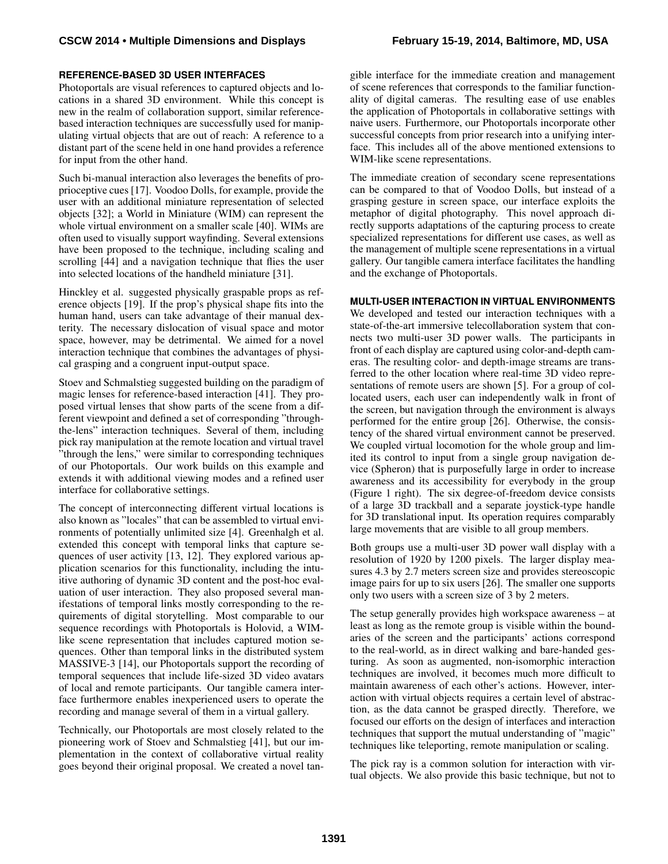## **REFERENCE-BASED 3D USER INTERFACES**

Photoportals are visual references to captured objects and locations in a shared 3D environment. While this concept is new in the realm of collaboration support, similar referencebased interaction techniques are successfully used for manipulating virtual objects that are out of reach: A reference to a distant part of the scene held in one hand provides a reference for input from the other hand.

Such bi-manual interaction also leverages the benefits of proprioceptive cues [\[17\]](#page-10-12). Voodoo Dolls, for example, provide the user with an additional miniature representation of selected objects [\[32\]](#page-11-18); a World in Miniature (WIM) can represent the whole virtual environment on a smaller scale [\[40\]](#page-11-19). WIMs are often used to visually support wayfinding. Several extensions have been proposed to the technique, including scaling and scrolling [\[44\]](#page-11-20) and a navigation technique that flies the user into selected locations of the handheld miniature [\[31\]](#page-11-21).

Hinckley et al. suggested physically graspable props as reference objects [\[19\]](#page-11-22). If the prop's physical shape fits into the human hand, users can take advantage of their manual dexterity. The necessary dislocation of visual space and motor space, however, may be detrimental. We aimed for a novel interaction technique that combines the advantages of physical grasping and a congruent input-output space.

Stoev and Schmalstieg suggested building on the paradigm of magic lenses for reference-based interaction [\[41\]](#page-11-23). They proposed virtual lenses that show parts of the scene from a different viewpoint and defined a set of corresponding "throughthe-lens" interaction techniques. Several of them, including pick ray manipulation at the remote location and virtual travel "through the lens," were similar to corresponding techniques of our Photoportals. Our work builds on this example and extends it with additional viewing modes and a refined user interface for collaborative settings.

The concept of interconnecting different virtual locations is also known as "locales" that can be assembled to virtual environments of potentially unlimited size [\[4\]](#page-10-13). Greenhalgh et al. extended this concept with temporal links that capture sequences of user activity [\[13,](#page-10-14) [12\]](#page-10-15). They explored various application scenarios for this functionality, including the intuitive authoring of dynamic 3D content and the post-hoc evaluation of user interaction. They also proposed several manifestations of temporal links mostly corresponding to the requirements of digital storytelling. Most comparable to our sequence recordings with Photoportals is Holovid, a WIMlike scene representation that includes captured motion sequences. Other than temporal links in the distributed system MASSIVE-3 [\[14\]](#page-10-16), our Photoportals support the recording of temporal sequences that include life-sized 3D video avatars of local and remote participants. Our tangible camera interface furthermore enables inexperienced users to operate the recording and manage several of them in a virtual gallery.

Technically, our Photoportals are most closely related to the pioneering work of Stoev and Schmalstieg [\[41\]](#page-11-23), but our implementation in the context of collaborative virtual reality goes beyond their original proposal. We created a novel tan-

gible interface for the immediate creation and management of scene references that corresponds to the familiar functionality of digital cameras. The resulting ease of use enables the application of Photoportals in collaborative settings with naive users. Furthermore, our Photoportals incorporate other successful concepts from prior research into a unifying interface. This includes all of the above mentioned extensions to WIM-like scene representations.

The immediate creation of secondary scene representations can be compared to that of Voodoo Dolls, but instead of a grasping gesture in screen space, our interface exploits the metaphor of digital photography. This novel approach directly supports adaptations of the capturing process to create specialized representations for different use cases, as well as the management of multiple scene representations in a virtual gallery. Our tangible camera interface facilitates the handling and the exchange of Photoportals.

#### **MULTI-USER INTERACTION IN VIRTUAL ENVIRONMENTS**

We developed and tested our interaction techniques with a state-of-the-art immersive telecollaboration system that connects two multi-user 3D power walls. The participants in front of each display are captured using color-and-depth cameras. The resulting color- and depth-image streams are transferred to the other location where real-time 3D video representations of remote users are shown [\[5\]](#page-10-7). For a group of collocated users, each user can independently walk in front of the screen, but navigation through the environment is always performed for the entire group [\[26\]](#page-11-2). Otherwise, the consistency of the shared virtual environment cannot be preserved. We coupled virtual locomotion for the whole group and limited its control to input from a single group navigation device (Spheron) that is purposefully large in order to increase awareness and its accessibility for everybody in the group (Figure [1](#page-0-0) right). The six degree-of-freedom device consists of a large 3D trackball and a separate joystick-type handle for 3D translational input. Its operation requires comparably large movements that are visible to all group members.

Both groups use a multi-user 3D power wall display with a resolution of 1920 by 1200 pixels. The larger display measures 4.3 by 2.7 meters screen size and provides stereoscopic image pairs for up to six users [\[26\]](#page-11-2). The smaller one supports only two users with a screen size of 3 by 2 meters.

The setup generally provides high workspace awareness – at least as long as the remote group is visible within the boundaries of the screen and the participants' actions correspond to the real-world, as in direct walking and bare-handed gesturing. As soon as augmented, non-isomorphic interaction techniques are involved, it becomes much more difficult to maintain awareness of each other's actions. However, interaction with virtual objects requires a certain level of abstraction, as the data cannot be grasped directly. Therefore, we focused our efforts on the design of interfaces and interaction techniques that support the mutual understanding of "magic" techniques like teleporting, remote manipulation or scaling.

The pick ray is a common solution for interaction with virtual objects. We also provide this basic technique, but not to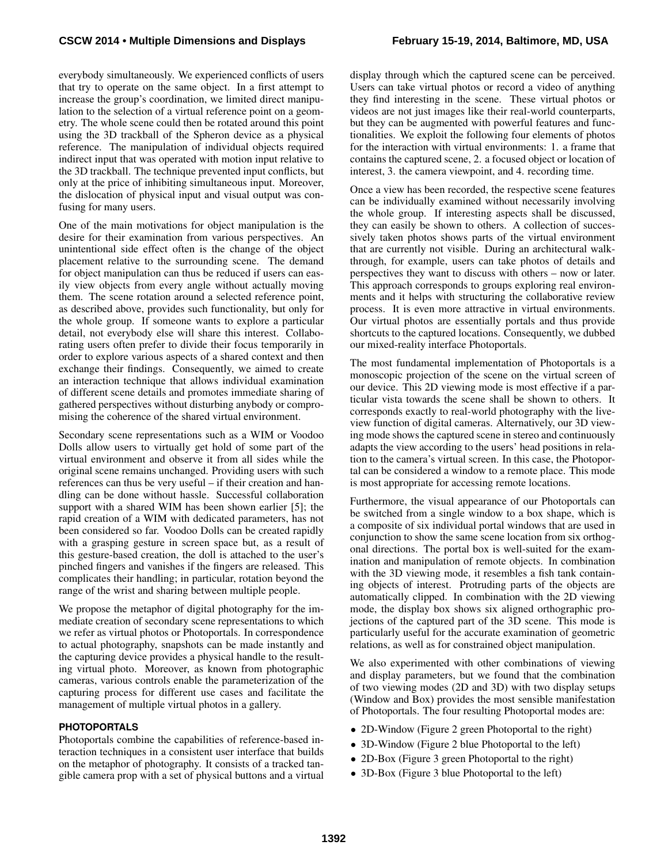everybody simultaneously. We experienced conflicts of users that try to operate on the same object. In a first attempt to increase the group's coordination, we limited direct manipulation to the selection of a virtual reference point on a geometry. The whole scene could then be rotated around this point using the 3D trackball of the Spheron device as a physical reference. The manipulation of individual objects required indirect input that was operated with motion input relative to the 3D trackball. The technique prevented input conflicts, but only at the price of inhibiting simultaneous input. Moreover, the dislocation of physical input and visual output was confusing for many users.

One of the main motivations for object manipulation is the desire for their examination from various perspectives. An unintentional side effect often is the change of the object placement relative to the surrounding scene. The demand for object manipulation can thus be reduced if users can easily view objects from every angle without actually moving them. The scene rotation around a selected reference point, as described above, provides such functionality, but only for the whole group. If someone wants to explore a particular detail, not everybody else will share this interest. Collaborating users often prefer to divide their focus temporarily in order to explore various aspects of a shared context and then exchange their findings. Consequently, we aimed to create an interaction technique that allows individual examination of different scene details and promotes immediate sharing of gathered perspectives without disturbing anybody or compromising the coherence of the shared virtual environment.

Secondary scene representations such as a WIM or Voodoo Dolls allow users to virtually get hold of some part of the virtual environment and observe it from all sides while the original scene remains unchanged. Providing users with such references can thus be very useful – if their creation and handling can be done without hassle. Successful collaboration support with a shared WIM has been shown earlier [\[5\]](#page-10-7); the rapid creation of a WIM with dedicated parameters, has not been considered so far. Voodoo Dolls can be created rapidly with a grasping gesture in screen space but, as a result of this gesture-based creation, the doll is attached to the user's pinched fingers and vanishes if the fingers are released. This complicates their handling; in particular, rotation beyond the range of the wrist and sharing between multiple people.

We propose the metaphor of digital photography for the immediate creation of secondary scene representations to which we refer as virtual photos or Photoportals. In correspondence to actual photography, snapshots can be made instantly and the capturing device provides a physical handle to the resulting virtual photo. Moreover, as known from photographic cameras, various controls enable the parameterization of the capturing process for different use cases and facilitate the management of multiple virtual photos in a gallery.

#### **PHOTOPORTALS**

Photoportals combine the capabilities of reference-based interaction techniques in a consistent user interface that builds on the metaphor of photography. It consists of a tracked tangible camera prop with a set of physical buttons and a virtual display through which the captured scene can be perceived. Users can take virtual photos or record a video of anything they find interesting in the scene. These virtual photos or videos are not just images like their real-world counterparts, but they can be augmented with powerful features and functionalities. We exploit the following four elements of photos for the interaction with virtual environments: 1. a frame that contains the captured scene, 2. a focused object or location of interest, 3. the camera viewpoint, and 4. recording time.

Once a view has been recorded, the respective scene features can be individually examined without necessarily involving the whole group. If interesting aspects shall be discussed, they can easily be shown to others. A collection of successively taken photos shows parts of the virtual environment that are currently not visible. During an architectural walkthrough, for example, users can take photos of details and perspectives they want to discuss with others – now or later. This approach corresponds to groups exploring real environments and it helps with structuring the collaborative review process. It is even more attractive in virtual environments. Our virtual photos are essentially portals and thus provide shortcuts to the captured locations. Consequently, we dubbed our mixed-reality interface Photoportals.

The most fundamental implementation of Photoportals is a monoscopic projection of the scene on the virtual screen of our device. This 2D viewing mode is most effective if a particular vista towards the scene shall be shown to others. It corresponds exactly to real-world photography with the liveview function of digital cameras. Alternatively, our 3D viewing mode shows the captured scene in stereo and continuously adapts the view according to the users' head positions in relation to the camera's virtual screen. In this case, the Photoportal can be considered a window to a remote place. This mode is most appropriate for accessing remote locations.

Furthermore, the visual appearance of our Photoportals can be switched from a single window to a box shape, which is a composite of six individual portal windows that are used in conjunction to show the same scene location from six orthogonal directions. The portal box is well-suited for the examination and manipulation of remote objects. In combination with the 3D viewing mode, it resembles a fish tank containing objects of interest. Protruding parts of the objects are automatically clipped. In combination with the 2D viewing mode, the display box shows six aligned orthographic projections of the captured part of the 3D scene. This mode is particularly useful for the accurate examination of geometric relations, as well as for constrained object manipulation.

We also experimented with other combinations of viewing and display parameters, but we found that the combination of two viewing modes (2D and 3D) with two display setups (Window and Box) provides the most sensible manifestation of Photoportals. The four resulting Photoportal modes are:

- • [2](#page-5-0)D-Window (Figure 2 green Photoportal to the right)
- 3D-Window (Figure [2](#page-5-0) blue Photoportal to the left)
- 2D-Box (Figure [3](#page-5-1) green Photoportal to the right)
- 3D-Box (Figure [3](#page-5-1) blue Photoportal to the left)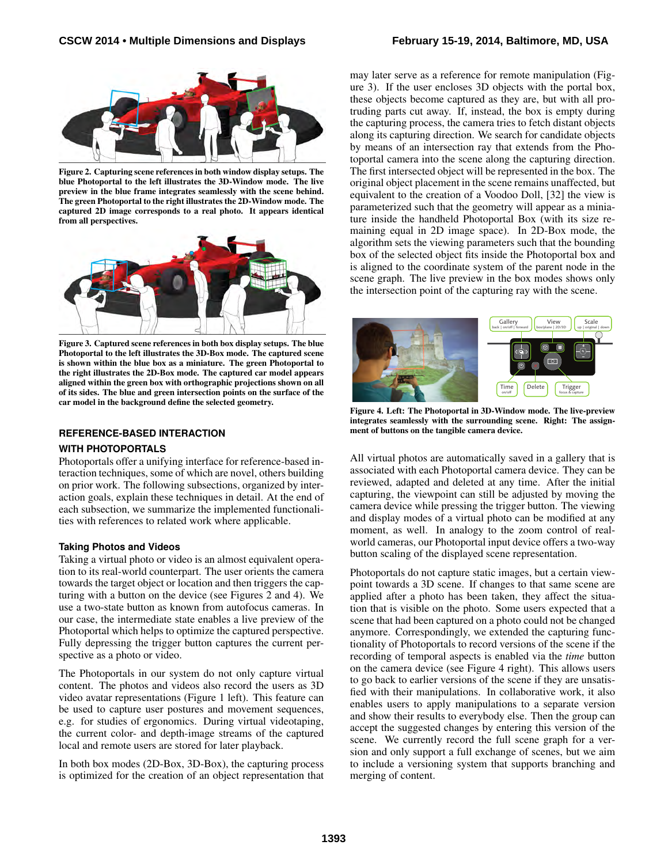

Figure 2. Capturing scene references in both window display setups. The blue Photoportal to the left illustrates the 3D-Window mode. The live preview in the blue frame integrates seamlessly with the scene behind. The green Photoportal to the right illustrates the 2D-Window mode. The captured 2D image corresponds to a real photo. It appears identical from all perspectives.

<span id="page-5-0"></span>

Figure 3. Captured scene references in both box display setups. The blue Photoportal to the left illustrates the 3D-Box mode. The captured scene is shown within the blue box as a miniature. The green Photoportal to the right illustrates the 2D-Box mode. The captured car model appears aligned within the green box with orthographic projections shown on all of its sides. The blue and green intersection points on the surface of the car model in the background define the selected geometry.

#### <span id="page-5-1"></span>**REFERENCE-BASED INTERACTION**

#### **WITH PHOTOPORTALS**

Photoportals offer a unifying interface for reference-based interaction techniques, some of which are novel, others building on prior work. The following subsections, organized by interaction goals, explain these techniques in detail. At the end of each subsection, we summarize the implemented functionalities with references to related work where applicable.

#### **Taking Photos and Videos**

Taking a virtual photo or video is an almost equivalent operation to its real-world counterpart. The user orients the camera towards the target object or location and then triggers the capturing with a button on the device (see Figures [2](#page-5-0) and [4\)](#page-5-2). We use a two-state button as known from autofocus cameras. In our case, the intermediate state enables a live preview of the Photoportal which helps to optimize the captured perspective. Fully depressing the trigger button captures the current perspective as a photo or video.

The Photoportals in our system do not only capture virtual content. The photos and videos also record the users as 3D video avatar representations (Figure [1](#page-0-0) left). This feature can be used to capture user postures and movement sequences, e.g. for studies of ergonomics. During virtual videotaping, the current color- and depth-image streams of the captured local and remote users are stored for later playback.

In both box modes (2D-Box, 3D-Box), the capturing process is optimized for the creation of an object representation that may later serve as a reference for remote manipulation (Figure [3\)](#page-5-1). If the user encloses 3D objects with the portal box, these objects become captured as they are, but with all protruding parts cut away. If, instead, the box is empty during the capturing process, the camera tries to fetch distant objects along its capturing direction. We search for candidate objects by means of an intersection ray that extends from the Photoportal camera into the scene along the capturing direction. The first intersected object will be represented in the box. The original object placement in the scene remains unaffected, but equivalent to the creation of a Voodoo Doll, [\[32\]](#page-11-18) the view is parameterized such that the geometry will appear as a miniature inside the handheld Photoportal Box (with its size remaining equal in 2D image space). In 2D-Box mode, the algorithm sets the viewing parameters such that the bounding box of the selected object fits inside the Photoportal box and is aligned to the coordinate system of the parent node in the scene graph. The live preview in the box modes shows only the intersection point of the capturing ray with the scene.



Figure 4. Left: The Photoportal in 3D-Window mode. The live-preview integrates seamlessly with the surrounding scene. Right: The assignment of buttons on the tangible camera device.

<span id="page-5-2"></span>All virtual photos are automatically saved in a gallery that is associated with each Photoportal camera device. They can be reviewed, adapted and deleted at any time. After the initial capturing, the viewpoint can still be adjusted by moving the camera device while pressing the trigger button. The viewing and display modes of a virtual photo can be modified at any moment, as well. In analogy to the zoom control of realworld cameras, our Photoportal input device offers a two-way button scaling of the displayed scene representation.

Photoportals do not capture static images, but a certain viewpoint towards a 3D scene. If changes to that same scene are applied after a photo has been taken, they affect the situation that is visible on the photo. Some users expected that a scene that had been captured on a photo could not be changed anymore. Correspondingly, we extended the capturing functionality of Photoportals to record versions of the scene if the recording of temporal aspects is enabled via the *time* button on the camera device (see Figure [4](#page-5-2) right). This allows users to go back to earlier versions of the scene if they are unsatisfied with their manipulations. In collaborative work, it also enables users to apply manipulations to a separate version and show their results to everybody else. Then the group can accept the suggested changes by entering this version of the scene. We currently record the full scene graph for a version and only support a full exchange of scenes, but we aim to include a versioning system that supports branching and merging of content.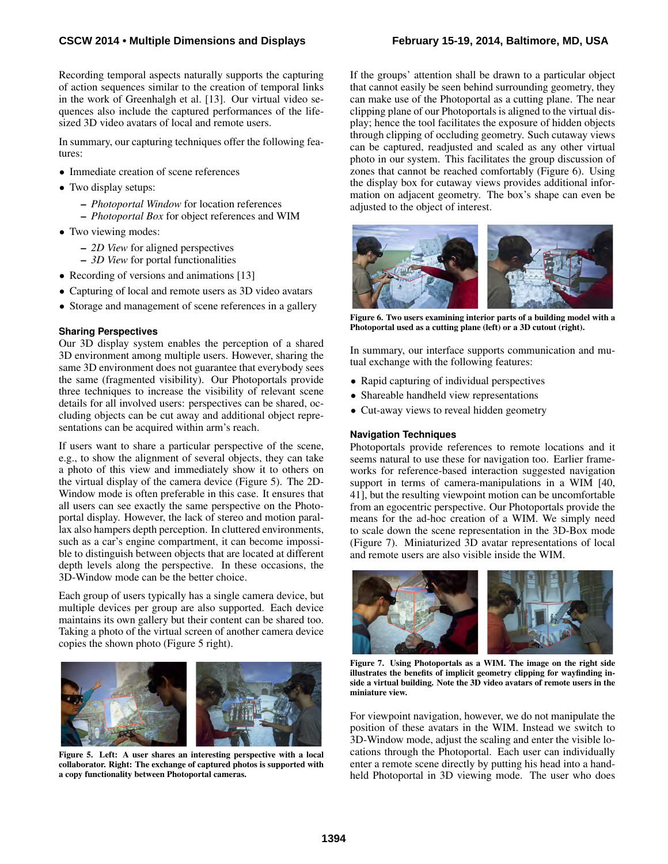Recording temporal aspects naturally supports the capturing of action sequences similar to the creation of temporal links in the work of Greenhalgh et al. [\[13\]](#page-10-14). Our virtual video sequences also include the captured performances of the lifesized 3D video avatars of local and remote users.

In summary, our capturing techniques offer the following features:

- Immediate creation of scene references
- Two display setups:
	- *Photoportal Window* for location references – *Photoportal Box* for object references and WIM
- Two viewing modes:
	- *2D View* for aligned perspectives
	- *3D View* for portal functionalities
- Recording of versions and animations [\[13\]](#page-10-14)
- Capturing of local and remote users as 3D video avatars
- Storage and management of scene references in a gallery

#### **Sharing Perspectives**

Our 3D display system enables the perception of a shared 3D environment among multiple users. However, sharing the same 3D environment does not guarantee that everybody sees the same (fragmented visibility). Our Photoportals provide three techniques to increase the visibility of relevant scene details for all involved users: perspectives can be shared, occluding objects can be cut away and additional object representations can be acquired within arm's reach.

If users want to share a particular perspective of the scene, e.g., to show the alignment of several objects, they can take a photo of this view and immediately show it to others on the virtual display of the camera device (Figure [5\)](#page-6-0). The 2D-Window mode is often preferable in this case. It ensures that all users can see exactly the same perspective on the Photoportal display. However, the lack of stereo and motion parallax also hampers depth perception. In cluttered environments, such as a car's engine compartment, it can become impossible to distinguish between objects that are located at different depth levels along the perspective. In these occasions, the 3D-Window mode can be the better choice.

Each group of users typically has a single camera device, but multiple devices per group are also supported. Each device maintains its own gallery but their content can be shared too. Taking a photo of the virtual screen of another camera device copies the shown photo (Figure [5](#page-6-0) right).

<span id="page-6-0"></span>

Figure 5. Left: A user shares an interesting perspective with a local collaborator. Right: The exchange of captured photos is supported with a copy functionality between Photoportal cameras.

If the groups' attention shall be drawn to a particular object that cannot easily be seen behind surrounding geometry, they can make use of the Photoportal as a cutting plane. The near clipping plane of our Photoportals is aligned to the virtual display; hence the tool facilitates the exposure of hidden objects through clipping of occluding geometry. Such cutaway views can be captured, readjusted and scaled as any other virtual photo in our system. This facilitates the group discussion of zones that cannot be reached comfortably (Figure [6\)](#page-6-1). Using the display box for cutaway views provides additional information on adjacent geometry. The box's shape can even be adjusted to the object of interest.



Figure 6. Two users examining interior parts of a building model with a Photoportal used as a cutting plane (left) or a 3D cutout (right).

<span id="page-6-1"></span>In summary, our interface supports communication and mutual exchange with the following features:

- Rapid capturing of individual perspectives
- Shareable handheld view representations
- Cut-away views to reveal hidden geometry

#### **Navigation Techniques**

Photoportals provide references to remote locations and it seems natural to use these for navigation too. Earlier frameworks for reference-based interaction suggested navigation support in terms of camera-manipulations in a WIM [\[40,](#page-11-19) [41\]](#page-11-23), but the resulting viewpoint motion can be uncomfortable from an egocentric perspective. Our Photoportals provide the means for the ad-hoc creation of a WIM. We simply need to scale down the scene representation in the 3D-Box mode (Figure [7\)](#page-6-2). Miniaturized 3D avatar representations of local and remote users are also visible inside the WIM.



Figure 7. Using Photoportals as a WIM. The image on the right side illustrates the benefits of implicit geometry clipping for wayfinding inside a virtual building. Note the 3D video avatars of remote users in the miniature view.

<span id="page-6-2"></span>For viewpoint navigation, however, we do not manipulate the position of these avatars in the WIM. Instead we switch to 3D-Window mode, adjust the scaling and enter the visible locations through the Photoportal. Each user can individually enter a remote scene directly by putting his head into a handheld Photoportal in 3D viewing mode. The user who does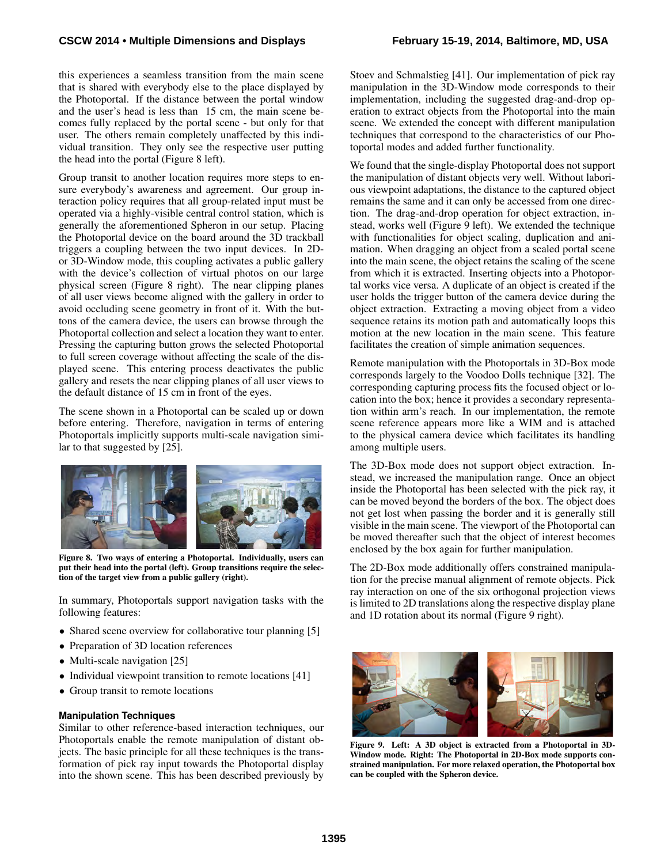this experiences a seamless transition from the main scene that is shared with everybody else to the place displayed by the Photoportal. If the distance between the portal window and the user's head is less than 15 cm, the main scene becomes fully replaced by the portal scene - but only for that user. The others remain completely unaffected by this individual transition. They only see the respective user putting the head into the portal (Figure [8](#page-7-0) left).

Group transit to another location requires more steps to ensure everybody's awareness and agreement. Our group interaction policy requires that all group-related input must be operated via a highly-visible central control station, which is generally the aforementioned Spheron in our setup. Placing the Photoportal device on the board around the 3D trackball triggers a coupling between the two input devices. In 2Dor 3D-Window mode, this coupling activates a public gallery with the device's collection of virtual photos on our large physical screen (Figure [8](#page-7-0) right). The near clipping planes of all user views become aligned with the gallery in order to avoid occluding scene geometry in front of it. With the buttons of the camera device, the users can browse through the Photoportal collection and select a location they want to enter. Pressing the capturing button grows the selected Photoportal to full screen coverage without affecting the scale of the displayed scene. This entering process deactivates the public gallery and resets the near clipping planes of all user views to the default distance of 15 cm in front of the eyes.

The scene shown in a Photoportal can be scaled up or down before entering. Therefore, navigation in terms of entering Photoportals implicitly supports multi-scale navigation similar to that suggested by [\[25\]](#page-11-24).



Figure 8. Two ways of entering a Photoportal. Individually, users can put their head into the portal (left). Group transitions require the selection of the target view from a public gallery (right).

<span id="page-7-0"></span>In summary, Photoportals support navigation tasks with the following features:

- Shared scene overview for collaborative tour planning [\[5\]](#page-10-7)
- Preparation of 3D location references
- Multi-scale navigation [\[25\]](#page-11-24)
- Individual viewpoint transition to remote locations [\[41\]](#page-11-23)
- Group transit to remote locations

#### **Manipulation Techniques**

Similar to other reference-based interaction techniques, our Photoportals enable the remote manipulation of distant objects. The basic principle for all these techniques is the transformation of pick ray input towards the Photoportal display into the shown scene. This has been described previously by Stoev and Schmalstieg [\[41\]](#page-11-23). Our implementation of pick ray manipulation in the 3D-Window mode corresponds to their implementation, including the suggested drag-and-drop operation to extract objects from the Photoportal into the main scene. We extended the concept with different manipulation techniques that correspond to the characteristics of our Photoportal modes and added further functionality.

We found that the single-display Photoportal does not support the manipulation of distant objects very well. Without laborious viewpoint adaptations, the distance to the captured object remains the same and it can only be accessed from one direction. The drag-and-drop operation for object extraction, instead, works well (Figure [9](#page-7-1) left). We extended the technique with functionalities for object scaling, duplication and animation. When dragging an object from a scaled portal scene into the main scene, the object retains the scaling of the scene from which it is extracted. Inserting objects into a Photoportal works vice versa. A duplicate of an object is created if the user holds the trigger button of the camera device during the object extraction. Extracting a moving object from a video sequence retains its motion path and automatically loops this motion at the new location in the main scene. This feature facilitates the creation of simple animation sequences.

Remote manipulation with the Photoportals in 3D-Box mode corresponds largely to the Voodoo Dolls technique [\[32\]](#page-11-18). The corresponding capturing process fits the focused object or location into the box; hence it provides a secondary representation within arm's reach. In our implementation, the remote scene reference appears more like a WIM and is attached to the physical camera device which facilitates its handling among multiple users.

The 3D-Box mode does not support object extraction. Instead, we increased the manipulation range. Once an object inside the Photoportal has been selected with the pick ray, it can be moved beyond the borders of the box. The object does not get lost when passing the border and it is generally still visible in the main scene. The viewport of the Photoportal can be moved thereafter such that the object of interest becomes enclosed by the box again for further manipulation.

The 2D-Box mode additionally offers constrained manipulation for the precise manual alignment of remote objects. Pick ray interaction on one of the six orthogonal projection views is limited to 2D translations along the respective display plane and 1D rotation about its normal (Figure [9](#page-7-1) right).

<span id="page-7-1"></span>

Figure 9. Left: A 3D object is extracted from a Photoportal in 3D-Window mode. Right: The Photoportal in 2D-Box mode supports constrained manipulation. For more relaxed operation, the Photoportal box can be coupled with the Spheron device.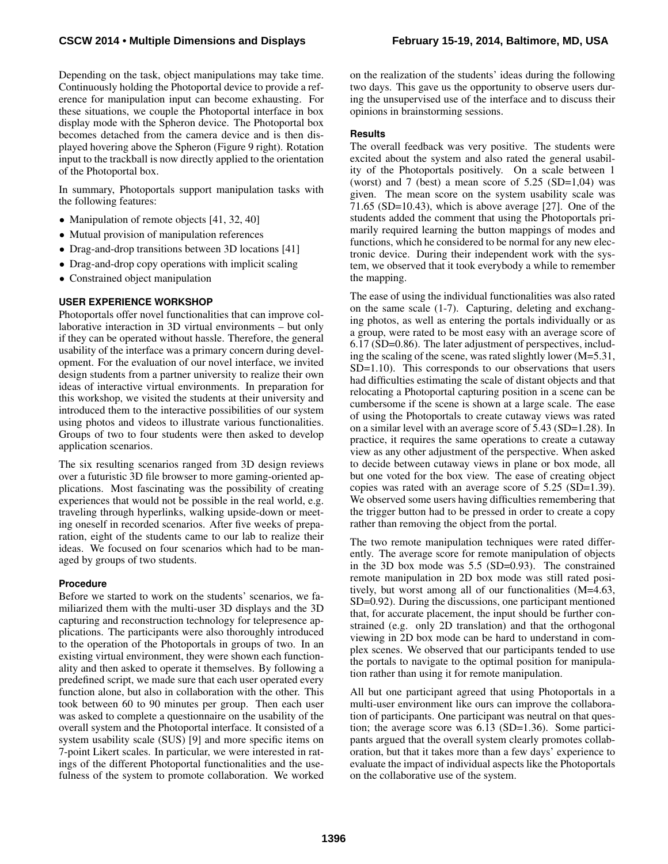## **CSCW 2014 • Multiple Dimensions and Displays February 15-19, 2014, Baltimore, MD, USA**

Depending on the task, object manipulations may take time. Continuously holding the Photoportal device to provide a reference for manipulation input can become exhausting. For these situations, we couple the Photoportal interface in box display mode with the Spheron device. The Photoportal box becomes detached from the camera device and is then displayed hovering above the Spheron (Figure [9](#page-7-1) right). Rotation input to the trackball is now directly applied to the orientation of the Photoportal box.

In summary, Photoportals support manipulation tasks with the following features:

- Manipulation of remote objects [\[41,](#page-11-23) [32,](#page-11-18) [40\]](#page-11-19)
- Mutual provision of manipulation references
- Drag-and-drop transitions between 3D locations [\[41\]](#page-11-23)
- Drag-and-drop copy operations with implicit scaling
- Constrained object manipulation

# **USER EXPERIENCE WORKSHOP**

Photoportals offer novel functionalities that can improve collaborative interaction in 3D virtual environments – but only if they can be operated without hassle. Therefore, the general usability of the interface was a primary concern during development. For the evaluation of our novel interface, we invited design students from a partner university to realize their own ideas of interactive virtual environments. In preparation for this workshop, we visited the students at their university and introduced them to the interactive possibilities of our system using photos and videos to illustrate various functionalities. Groups of two to four students were then asked to develop application scenarios.

The six resulting scenarios ranged from 3D design reviews over a futuristic 3D file browser to more gaming-oriented applications. Most fascinating was the possibility of creating experiences that would not be possible in the real world, e.g. traveling through hyperlinks, walking upside-down or meeting oneself in recorded scenarios. After five weeks of preparation, eight of the students came to our lab to realize their ideas. We focused on four scenarios which had to be managed by groups of two students.

## **Procedure**

Before we started to work on the students' scenarios, we familiarized them with the multi-user 3D displays and the 3D capturing and reconstruction technology for telepresence applications. The participants were also thoroughly introduced to the operation of the Photoportals in groups of two. In an existing virtual environment, they were shown each functionality and then asked to operate it themselves. By following a predefined script, we made sure that each user operated every function alone, but also in collaboration with the other. This took between 60 to 90 minutes per group. Then each user was asked to complete a questionnaire on the usability of the overall system and the Photoportal interface. It consisted of a system usability scale (SUS) [\[9\]](#page-10-17) and more specific items on 7-point Likert scales. In particular, we were interested in ratings of the different Photoportal functionalities and the usefulness of the system to promote collaboration. We worked on the realization of the students' ideas during the following two days. This gave us the opportunity to observe users during the unsupervised use of the interface and to discuss their opinions in brainstorming sessions.

#### **Results**

The overall feedback was very positive. The students were excited about the system and also rated the general usability of the Photoportals positively. On a scale between 1 (worst) and 7 (best) a mean score of  $5.25$  (SD=1,04) was given. The mean score on the system usability scale was 71.65 (SD=10.43), which is above average [\[27\]](#page-11-25). One of the students added the comment that using the Photoportals primarily required learning the button mappings of modes and functions, which he considered to be normal for any new electronic device. During their independent work with the system, we observed that it took everybody a while to remember the mapping.

The ease of using the individual functionalities was also rated on the same scale (1-7). Capturing, deleting and exchanging photos, as well as entering the portals individually or as a group, were rated to be most easy with an average score of 6.17 (SD=0.86). The later adjustment of perspectives, including the scaling of the scene, was rated slightly lower (M=5.31, SD=1.10). This corresponds to our observations that users had difficulties estimating the scale of distant objects and that relocating a Photoportal capturing position in a scene can be cumbersome if the scene is shown at a large scale. The ease of using the Photoportals to create cutaway views was rated on a similar level with an average score of 5.43 (SD=1.28). In practice, it requires the same operations to create a cutaway view as any other adjustment of the perspective. When asked to decide between cutaway views in plane or box mode, all but one voted for the box view. The ease of creating object copies was rated with an average score of 5.25 (SD=1.39). We observed some users having difficulties remembering that the trigger button had to be pressed in order to create a copy rather than removing the object from the portal.

The two remote manipulation techniques were rated differently. The average score for remote manipulation of objects in the 3D box mode was 5.5 (SD=0.93). The constrained remote manipulation in 2D box mode was still rated positively, but worst among all of our functionalities (M=4.63, SD=0.92). During the discussions, one participant mentioned that, for accurate placement, the input should be further constrained (e.g. only 2D translation) and that the orthogonal viewing in 2D box mode can be hard to understand in complex scenes. We observed that our participants tended to use the portals to navigate to the optimal position for manipulation rather than using it for remote manipulation.

All but one participant agreed that using Photoportals in a multi-user environment like ours can improve the collaboration of participants. One participant was neutral on that question; the average score was 6.13 (SD=1.36). Some participants argued that the overall system clearly promotes collaboration, but that it takes more than a few days' experience to evaluate the impact of individual aspects like the Photoportals on the collaborative use of the system.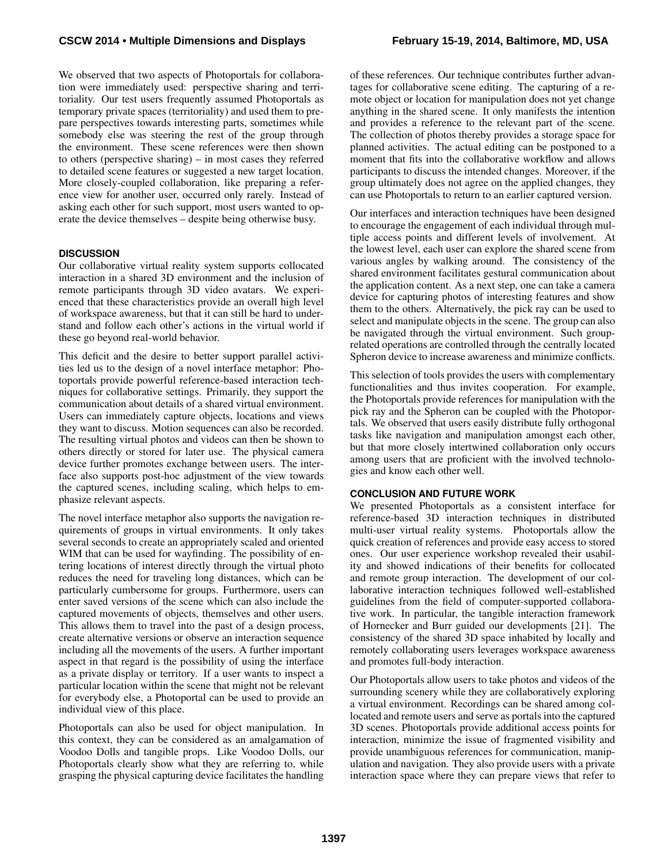We observed that two aspects of Photoportals for collaboration were immediately used: perspective sharing and territoriality. Our test users frequently assumed Photoportals as temporary private spaces (territoriality) and used them to prepare perspectives towards interesting parts, sometimes while somebody else was steering the rest of the group through the environment. These scene references were then shown to others (perspective sharing) – in most cases they referred to detailed scene features or suggested a new target location. More closely-coupled collaboration, like preparing a reference view for another user, occurred only rarely. Instead of asking each other for such support, most users wanted to operate the device themselves – despite being otherwise busy.

## **DISCUSSION**

Our collaborative virtual reality system supports collocated interaction in a shared 3D environment and the inclusion of remote participants through 3D video avatars. We experienced that these characteristics provide an overall high level of workspace awareness, but that it can still be hard to understand and follow each other's actions in the virtual world if these go beyond real-world behavior.

This deficit and the desire to better support parallel activities led us to the design of a novel interface metaphor: Photoportals provide powerful reference-based interaction techniques for collaborative settings. Primarily, they support the communication about details of a shared virtual environment. Users can immediately capture objects, locations and views they want to discuss. Motion sequences can also be recorded. The resulting virtual photos and videos can then be shown to others directly or stored for later use. The physical camera device further promotes exchange between users. The interface also supports post-hoc adjustment of the view towards the captured scenes, including scaling, which helps to emphasize relevant aspects.

The novel interface metaphor also supports the navigation requirements of groups in virtual environments. It only takes several seconds to create an appropriately scaled and oriented WIM that can be used for wayfinding. The possibility of entering locations of interest directly through the virtual photo reduces the need for traveling long distances, which can be particularly cumbersome for groups. Furthermore, users can enter saved versions of the scene which can also include the captured movements of objects, themselves and other users. This allows them to travel into the past of a design process, create alternative versions or observe an interaction sequence including all the movements of the users. A further important aspect in that regard is the possibility of using the interface as a private display or territory. If a user wants to inspect a particular location within the scene that might not be relevant for everybody else, a Photoportal can be used to provide an individual view of this place.

Photoportals can also be used for object manipulation. In this context, they can be considered as an amalgamation of Voodoo Dolls and tangible props. Like Voodoo Dolls, our Photoportals clearly show what they are referring to, while grasping the physical capturing device facilitates the handling

of these references. Our technique contributes further advantages for collaborative scene editing. The capturing of a remote object or location for manipulation does not yet change anything in the shared scene. It only manifests the intention and provides a reference to the relevant part of the scene. The collection of photos thereby provides a storage space for planned activities. The actual editing can be postponed to a moment that fits into the collaborative workflow and allows participants to discuss the intended changes. Moreover, if the group ultimately does not agree on the applied changes, they can use Photoportals to return to an earlier captured version.

Our interfaces and interaction techniques have been designed to encourage the engagement of each individual through multiple access points and different levels of involvement. At the lowest level, each user can explore the shared scene from various angles by walking around. The consistency of the shared environment facilitates gestural communication about the application content. As a next step, one can take a camera device for capturing photos of interesting features and show them to the others. Alternatively, the pick ray can be used to select and manipulate objects in the scene. The group can also be navigated through the virtual environment. Such grouprelated operations are controlled through the centrally located Spheron device to increase awareness and minimize conflicts.

This selection of tools provides the users with complementary functionalities and thus invites cooperation. For example, the Photoportals provide references for manipulation with the pick ray and the Spheron can be coupled with the Photoportals. We observed that users easily distribute fully orthogonal tasks like navigation and manipulation amongst each other, but that more closely intertwined collaboration only occurs among users that are proficient with the involved technologies and know each other well.

#### **CONCLUSION AND FUTURE WORK**

We presented Photoportals as a consistent interface for reference-based 3D interaction techniques in distributed multi-user virtual reality systems. Photoportals allow the quick creation of references and provide easy access to stored ones. Our user experience workshop revealed their usability and showed indications of their benefits for collocated and remote group interaction. The development of our collaborative interaction techniques followed well-established guidelines from the field of computer-supported collaborative work. In particular, the tangible interaction framework of Hornecker and Burr guided our developments [\[21\]](#page-11-17). The consistency of the shared 3D space inhabited by locally and remotely collaborating users leverages workspace awareness and promotes full-body interaction.

Our Photoportals allow users to take photos and videos of the surrounding scenery while they are collaboratively exploring a virtual environment. Recordings can be shared among collocated and remote users and serve as portals into the captured 3D scenes. Photoportals provide additional access points for interaction, minimize the issue of fragmented visibility and provide unambiguous references for communication, manipulation and navigation. They also provide users with a private interaction space where they can prepare views that refer to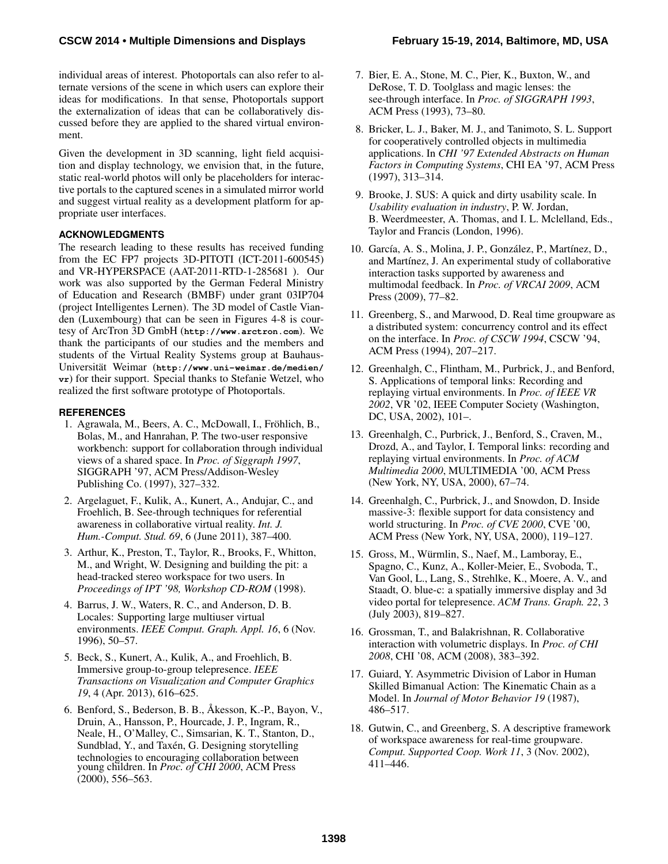## **CSCW 2014 • Multiple Dimensions and Displays February 15-19, 2014, Baltimore, MD, USA**

individual areas of interest. Photoportals can also refer to alternate versions of the scene in which users can explore their ideas for modifications. In that sense, Photoportals support the externalization of ideas that can be collaboratively discussed before they are applied to the shared virtual environment.

Given the development in 3D scanning, light field acquisition and display technology, we envision that, in the future, static real-world photos will only be placeholders for interactive portals to the captured scenes in a simulated mirror world and suggest virtual reality as a development platform for appropriate user interfaces.

# **ACKNOWLEDGMENTS**

The research leading to these results has received funding from the EC FP7 projects 3D-PITOTI (ICT-2011-600545) and VR-HYPERSPACE (AAT-2011-RTD-1-285681 ). Our work was also supported by the German Federal Ministry of Education and Research (BMBF) under grant 03IP704 (project Intelligentes Lernen). The 3D model of Castle Vianden (Luxembourg) that can be seen in Figures [4](#page-5-2)[-8](#page-7-0) is courtesy of ArcTron 3D GmbH (**<http://www.arctron.com>**). We thank the participants of our studies and the members and students of the Virtual Reality Systems group at BauhausUniversität Weimar ([http://www.uni-weimar.de/medien/](http://www.uni-weimar.de/medien/vr) **[vr](http://www.uni-weimar.de/medien/vr)**) for their support. Special thanks to Stefanie Wetzel, who realized the first software prototype of Photoportals.

#### <span id="page-10-1"></span>**REFERENCES**

- 1. Agrawala, M., Beers, A. C., McDowall, I., Fröhlich, B., Bolas, M., and Hanrahan, P. The two-user responsive workbench: support for collaboration through individual views of a shared space. In *Proc. of Siggraph 1997*, SIGGRAPH '97, ACM Press/Addison-Wesley Publishing Co. (1997), 327–332.
- <span id="page-10-10"></span>2. Argelaguet, F., Kulik, A., Kunert, A., Andujar, C., and Froehlich, B. See-through techniques for referential awareness in collaborative virtual reality. *Int. J. Hum.-Comput. Stud. 69*, 6 (June 2011), 387–400.
- <span id="page-10-2"></span>3. Arthur, K., Preston, T., Taylor, R., Brooks, F., Whitton, M., and Wright, W. Designing and building the pit: a head-tracked stereo workspace for two users. In *Proceedings of IPT '98, Workshop CD-ROM* (1998).
- <span id="page-10-13"></span>4. Barrus, J. W., Waters, R. C., and Anderson, D. B. Locales: Supporting large multiuser virtual environments. *IEEE Comput. Graph. Appl. 16*, 6 (Nov. 1996), 50–57.
- <span id="page-10-7"></span>5. Beck, S., Kunert, A., Kulik, A., and Froehlich, B. Immersive group-to-group telepresence. *IEEE Transactions on Visualization and Computer Graphics 19*, 4 (Apr. 2013), 616–625.
- <span id="page-10-9"></span>6. Benford, S., Bederson, B. B., Åkesson, K.-P., Bayon, V., Druin, A., Hansson, P., Hourcade, J. P., Ingram, R., Neale, H., O'Malley, C., Simsarian, K. T., Stanton, D., Sundblad, Y., and Taxén, G. Designing storytelling technologies to encouraging collaboration between young children. In *Proc. of CHI 2000*, ACM Press (2000), 556–563.
- <span id="page-10-11"></span>7. Bier, E. A., Stone, M. C., Pier, K., Buxton, W., and DeRose, T. D. Toolglass and magic lenses: the see-through interface. In *Proc. of SIGGRAPH 1993*, ACM Press (1993), 73–80.
- <span id="page-10-8"></span>8. Bricker, L. J., Baker, M. J., and Tanimoto, S. L. Support for cooperatively controlled objects in multimedia applications. In *CHI '97 Extended Abstracts on Human Factors in Computing Systems*, CHI EA '97, ACM Press (1997), 313–314.
- <span id="page-10-17"></span>9. Brooke, J. SUS: A quick and dirty usability scale. In *Usability evaluation in industry*, P. W. Jordan, B. Weerdmeester, A. Thomas, and I. L. Mclelland, Eds., Taylor and Francis (London, 1996).
- <span id="page-10-5"></span>10. García, A. S., Molina, J. P., González, P., Martínez, D., and Martínez, J. An experimental study of collaborative interaction tasks supported by awareness and multimodal feedback. In *Proc. of VRCAI 2009*, ACM Press (2009), 77–82.
- <span id="page-10-4"></span>11. Greenberg, S., and Marwood, D. Real time groupware as a distributed system: concurrency control and its effect on the interface. In *Proc. of CSCW 1994*, CSCW '94, ACM Press (1994), 207–217.
- <span id="page-10-15"></span>12. Greenhalgh, C., Flintham, M., Purbrick, J., and Benford, S. Applications of temporal links: Recording and replaying virtual environments. In *Proc. of IEEE VR 2002*, VR '02, IEEE Computer Society (Washington, DC, USA, 2002), 101–.
- <span id="page-10-14"></span>13. Greenhalgh, C., Purbrick, J., Benford, S., Craven, M., Drozd, A., and Taylor, I. Temporal links: recording and replaying virtual environments. In *Proc. of ACM Multimedia 2000*, MULTIMEDIA '00, ACM Press (New York, NY, USA, 2000), 67–74.
- <span id="page-10-16"></span>14. Greenhalgh, C., Purbrick, J., and Snowdon, D. Inside massive-3: flexible support for data consistency and world structuring. In *Proc. of CVE 2000*, CVE '00, ACM Press (New York, NY, USA, 2000), 119–127.
- <span id="page-10-6"></span>15. Gross, M., Wurmlin, S., Naef, M., Lamboray, E., ¨ Spagno, C., Kunz, A., Koller-Meier, E., Svoboda, T., Van Gool, L., Lang, S., Strehlke, K., Moere, A. V., and Staadt, O. blue-c: a spatially immersive display and 3d video portal for telepresence. *ACM Trans. Graph. 22*, 3 (July 2003), 819–827.
- <span id="page-10-3"></span>16. Grossman, T., and Balakrishnan, R. Collaborative interaction with volumetric displays. In *Proc. of CHI 2008*, CHI '08, ACM (2008), 383–392.
- <span id="page-10-12"></span>17. Guiard, Y. Asymmetric Division of Labor in Human Skilled Bimanual Action: The Kinematic Chain as a Model. In *Journal of Motor Behavior 19* (1987), 486–517.
- <span id="page-10-0"></span>18. Gutwin, C., and Greenberg, S. A descriptive framework of workspace awareness for real-time groupware. *Comput. Supported Coop. Work 11*, 3 (Nov. 2002), 411–446.